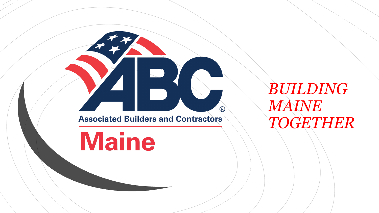## **Associated Builders and Contractors**

**Maine** 

 $\overline{\mathbb{R}}$ 

*BUILDING MAINE TOGETHER*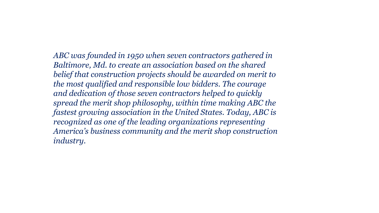*ABC was founded in 1950 when seven contractors gathered in Baltimore, Md. to create an association based on the shared belief that construction projects should be awarded on merit to the most qualified and responsible low bidders. The courage and dedication of those seven contractors helped to quickly spread the merit shop philosophy, within time making ABC the fastest growing association in the United States. Today, ABC is recognized as one of the leading organizations representing America's business community and the merit shop construction industry.*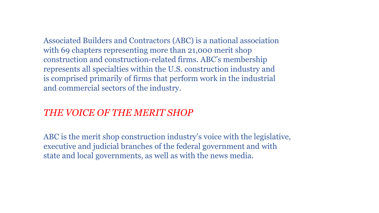Associated Builders and Contractors (ABC) is a national association with 69 chapters representing more than 21,000 merit shop construction and construction-related firms. ABC's membership represents all specialties within the U.S. construction industry and is comprised primarily of firms that perform work in the industrial and commercial sectors of the industry.

## *THE VOICE OF THE MERIT SHOP*

ABC is the merit shop construction industry's voice with the legislative, executive and judicial branches of the federal government and with state and local governments, as well as with the news media.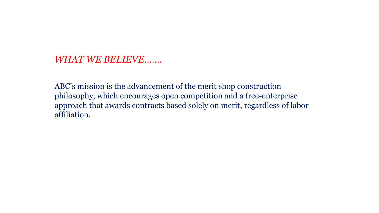*WHAT WE BELIEVE*…….

ABC's mission is the advancement of the merit shop construction philosophy, which encourages open competition and a free-enterprise approach that awards contracts based solely on merit, regardless of labor affiliation.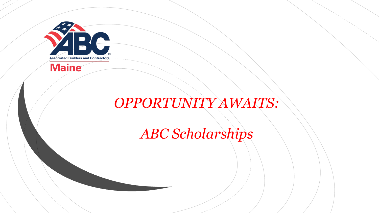



# *OPPORTUNITY AWAITS:*

*ABC Scholarships*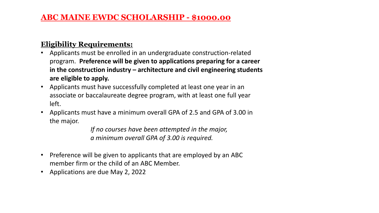## **ABC MAINE EWDC SCHOLARSHIP - \$1000.00**

#### **Eligibility Requirements:**

- Applicants must be enrolled in an undergraduate construction-related program. **Preference will be given to applications preparing for a career in the construction industry – architecture and civil engineering students are eligible to apply.**
- Applicants must have successfully completed at least one year in an associate or baccalaureate degree program, with at least one full year left.
- Applicants must have a minimum overall GPA of 2.5 and GPA of 3.00 in the major.

*If no courses have been attempted in the major, a minimum overall GPA of 3.00 is required.*

- Preference will be given to applicants that are employed by an ABC member firm or the child of an ABC Member.
- Applications are due May 2, 2022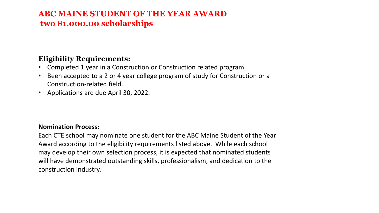## **ABC MAINE STUDENT OF THE YEAR AWARD two \$1,000.00 scholarships**

#### **Eligibility Requirements:**

- Completed 1 year in a Construction or Construction related program.
- Been accepted to a 2 or 4 year college program of study for Construction or a Construction-related field.
- Applications are due April 30, 2022.

#### **Nomination Process:**

Each CTE school may nominate one student for the ABC Maine Student of the Year Award according to the eligibility requirements listed above. While each school may develop their own selection process, it is expected that nominated students will have demonstrated outstanding skills, professionalism, and dedication to the construction industry.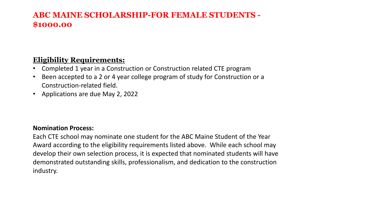## **ABC MAINE SCHOLARSHIP-FOR FEMALE STUDENTS - \$1000.00**

#### **Eligibility Requirements:**

- Completed 1 year in a Construction or Construction related CTE program
- Been accepted to a 2 or 4 year college program of study for Construction or a Construction-related field.
- Applications are due May 2, 2022

#### **Nomination Process:**

Each CTE school may nominate one student for the ABC Maine Student of the Year Award according to the eligibility requirements listed above. While each school may develop their own selection process, it is expected that nominated students will have demonstrated outstanding skills, professionalism, and dedication to the construction industry.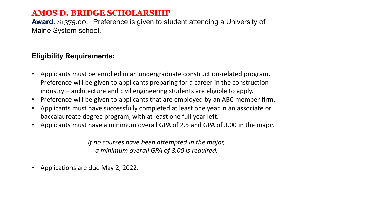#### **AMOS D. BRIDGE SCHOLARSHIP**

**Award**. \$1375.00. Preference is given to student attending a University of Maine System school.

#### **Eligibility Requirements:**

- Applicants must be enrolled in an undergraduate construction-related program. Preference will be given to applicants preparing for a career in the construction industry – architecture and civil engineering students are eligible to apply.
- Preference will be given to applicants that are employed by an ABC member firm.
- Applicants must have successfully completed at least one year in an associate or baccalaureate degree program, with at least one full year left.
- Applicants must have a minimum overall GPA of 2.5 and GPA of 3.00 in the major.

*If no courses have been attempted in the major, a minimum overall GPA of 3.00 is required.*

• Applications are due May 2, 2022.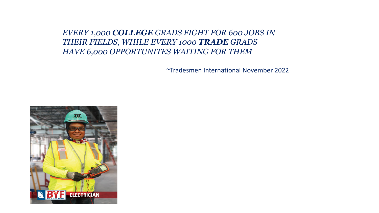*EVERY 1,000 COLLEGE GRADS FIGHT FOR 600 JOBS IN THEIR FIELDS, WHILE EVERY 1000 TRADE GRADS HAVE 6,000 OPPORTUNITES WAITING FOR THEM*

~Tradesmen International November 2022

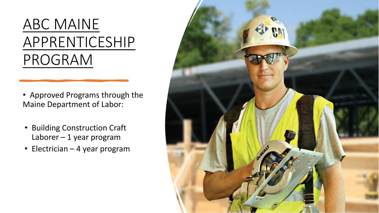# ABC MAINE APPRENTICESHIP PROGRAM

- Approved Programs through the Maine Department of Labor:
- Building Construction Craft Laborer  $-1$  year program
- Electrician 4 year program

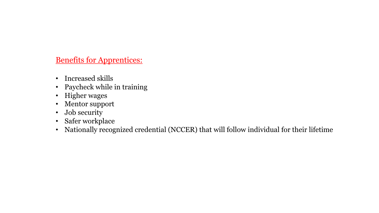## Benefits for Apprentices:

- Increased skills
- Paycheck while in training
- Higher wages
- Mentor support
- Job security
- Safer workplace
- Nationally recognized credential (NCCER) that will follow individual for their lifetime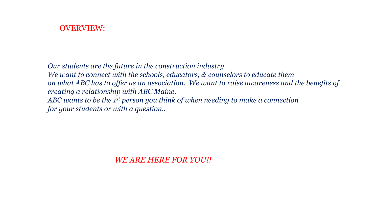

*Our students are the future in the construction industry. We want to connect with the schools, educators, & counselors to educate them on what ABC has to offer as an association. We want to raise awareness and the benefits of creating a relationship with ABC Maine. ABC wants to be the 1st person you think of when needing to make a connection for your students or with a question..*

*WE ARE HERE FOR YOU!!*